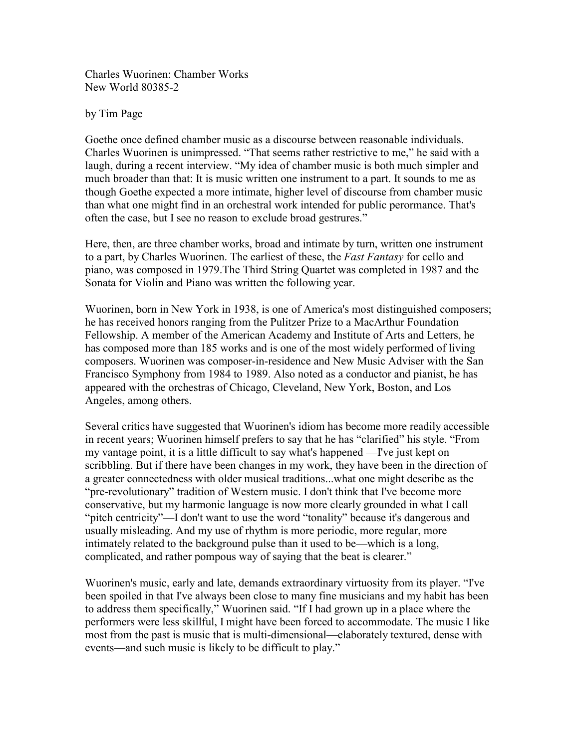Charles Wuorinen: Chamber Works New World 80385-2

by Tim Page

Goethe once defined chamber music as a discourse between reasonable individuals. Charles Wuorinen is unimpressed. "That seems rather restrictive to me," he said with a laugh, during a recent interview. "My idea of chamber music is both much simpler and much broader than that: It is music written one instrument to a part. It sounds to me as though Goethe expected a more intimate, higher level of discourse from chamber music than what one might find in an orchestral work intended for public perormance. That's often the case, but I see no reason to exclude broad gestrures."

Here, then, are three chamber works, broad and intimate by turn, written one instrument to a part, by Charles Wuorinen. The earliest of these, the *Fast Fantasy* for cello and piano, was composed in 1979.The Third String Quartet was completed in 1987 and the Sonata for Violin and Piano was written the following year.

Wuorinen, born in New York in 1938, is one of America's most distinguished composers; he has received honors ranging from the Pulitzer Prize to a MacArthur Foundation Fellowship. A member of the American Academy and Institute of Arts and Letters, he has composed more than 185 works and is one of the most widely performed of living composers. Wuorinen was composer-in-residence and New Music Adviser with the San Francisco Symphony from 1984 to 1989. Also noted as a conductor and pianist, he has appeared with the orchestras of Chicago, Cleveland, New York, Boston, and Los Angeles, among others.

Several critics have suggested that Wuorinen's idiom has become more readily accessible in recent years; Wuorinen himself prefers to say that he has "clarified" his style. "From my vantage point, it is a little difficult to say what's happened —I've just kept on scribbling. But if there have been changes in my work, they have been in the direction of a greater connectedness with older musical traditions...what one might describe as the "pre-revolutionary" tradition of Western music. I don't think that I've become more conservative, but my harmonic language is now more clearly grounded in what I call "pitch centricity"—I don't want to use the word "tonality" because it's dangerous and usually misleading. And my use of rhythm is more periodic, more regular, more intimately related to the background pulse than it used to be—which is a long, complicated, and rather pompous way of saying that the beat is clearer."

Wuorinen's music, early and late, demands extraordinary virtuosity from its player. "I've been spoiled in that I've always been close to many fine musicians and my habit has been to address them specifically," Wuorinen said. "If I had grown up in a place where the performers were less skillful, I might have been forced to accommodate. The music I like most from the past is music that is multi-dimensional—elaborately textured, dense with events—and such music is likely to be difficult to play."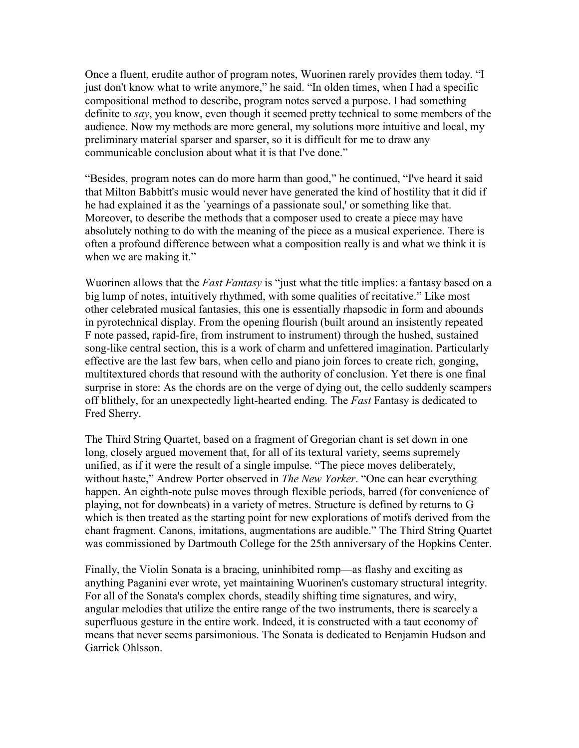Once a fluent, erudite author of program notes, Wuorinen rarely provides them today. "I just don't know what to write anymore," he said. "In olden times, when I had a specific compositional method to describe, program notes served a purpose. I had something definite to *say*, you know, even though it seemed pretty technical to some members of the audience. Now my methods are more general, my solutions more intuitive and local, my preliminary material sparser and sparser, so it is difficult for me to draw any communicable conclusion about what it is that I've done."

"Besides, program notes can do more harm than good," he continued, "I've heard it said that Milton Babbitt's music would never have generated the kind of hostility that it did if he had explained it as the `yearnings of a passionate soul,' or something like that. Moreover, to describe the methods that a composer used to create a piece may have absolutely nothing to do with the meaning of the piece as a musical experience. There is often a profound difference between what a composition really is and what we think it is when we are making it."

Wuorinen allows that the *Fast Fantasy* is "just what the title implies: a fantasy based on a big lump of notes, intuitively rhythmed, with some qualities of recitative." Like most other celebrated musical fantasies, this one is essentially rhapsodic in form and abounds in pyrotechnical display. From the opening flourish (built around an insistently repeated F note passed, rapid-fire, from instrument to instrument) through the hushed, sustained song-like central section, this is a work of charm and unfettered imagination. Particularly effective are the last few bars, when cello and piano join forces to create rich, gonging, multitextured chords that resound with the authority of conclusion. Yet there is one final surprise in store: As the chords are on the verge of dying out, the cello suddenly scampers off blithely, for an unexpectedly light-hearted ending. The *Fast* Fantasy is dedicated to Fred Sherry.

The Third String Quartet, based on a fragment of Gregorian chant is set down in one long, closely argued movement that, for all of its textural variety, seems supremely unified, as if it were the result of a single impulse. "The piece moves deliberately, without haste," Andrew Porter observed in *The New Yorker*. "One can hear everything happen. An eighth-note pulse moves through flexible periods, barred (for convenience of playing, not for downbeats) in a variety of metres. Structure is defined by returns to G which is then treated as the starting point for new explorations of motifs derived from the chant fragment. Canons, imitations, augmentations are audible." The Third String Quartet was commissioned by Dartmouth College for the 25th anniversary of the Hopkins Center.

Finally, the Violin Sonata is a bracing, uninhibited romp—as flashy and exciting as anything Paganini ever wrote, yet maintaining Wuorinen's customary structural integrity. For all of the Sonata's complex chords, steadily shifting time signatures, and wiry, angular melodies that utilize the entire range of the two instruments, there is scarcely a superfluous gesture in the entire work. Indeed, it is constructed with a taut economy of means that never seems parsimonious. The Sonata is dedicated to Benjamin Hudson and Garrick Ohlsson.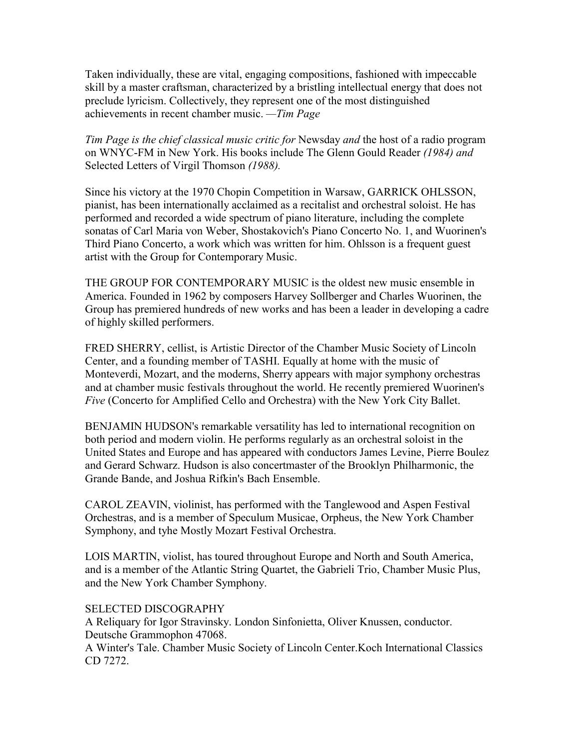Taken individually, these are vital, engaging compositions, fashioned with impeccable skill by a master craftsman, characterized by a bristling intellectual energy that does not preclude lyricism. Collectively, they represent one of the most distinguished achievements in recent chamber music. *—Tim Page*

*Tim Page is the chief classical music critic for* Newsday *and* the host of a radio program on WNYC-FM in New York. His books include The Glenn Gould Reader *(1984) and*  Selected Letters of Virgil Thomson *(1988).*

Since his victory at the 1970 Chopin Competition in Warsaw, GARRICK OHLSSON, pianist, has been internationally acclaimed as a recitalist and orchestral soloist. He has performed and recorded a wide spectrum of piano literature, including the complete sonatas of Carl Maria von Weber, Shostakovich's Piano Concerto No. 1, and Wuorinen's Third Piano Concerto, a work which was written for him. Ohlsson is a frequent guest artist with the Group for Contemporary Music.

THE GROUP FOR CONTEMPORARY MUSIC is the oldest new music ensemble in America. Founded in 1962 by composers Harvey Sollberger and Charles Wuorinen, the Group has premiered hundreds of new works and has been a leader in developing a cadre of highly skilled performers.

FRED SHERRY, cellist, is Artistic Director of the Chamber Music Society of Lincoln Center, and a founding member of TASHI. Equally at home with the music of Monteverdi, Mozart, and the moderns, Sherry appears with major symphony orchestras and at chamber music festivals throughout the world. He recently premiered Wuorinen's *Five* (Concerto for Amplified Cello and Orchestra) with the New York City Ballet.

BENJAMIN HUDSON's remarkable versatility has led to international recognition on both period and modern violin. He performs regularly as an orchestral soloist in the United States and Europe and has appeared with conductors James Levine, Pierre Boulez and Gerard Schwarz. Hudson is also concertmaster of the Brooklyn Philharmonic, the Grande Bande, and Joshua Rifkin's Bach Ensemble.

CAROL ZEAVIN, violinist, has performed with the Tanglewood and Aspen Festival Orchestras, and is a member of Speculum Musicae, Orpheus, the New York Chamber Symphony, and tyhe Mostly Mozart Festival Orchestra.

LOIS MARTIN, violist, has toured throughout Europe and North and South America, and is a member of the Atlantic String Quartet, the Gabrieli Trio, Chamber Music Plus, and the New York Chamber Symphony.

### SELECTED DISCOGRAPHY

A Reliquary for Igor Stravinsky. London Sinfonietta, Oliver Knussen, conductor. Deutsche Grammophon 47068.

A Winter's Tale. Chamber Music Society of Lincoln Center.Koch International Classics CD 7272.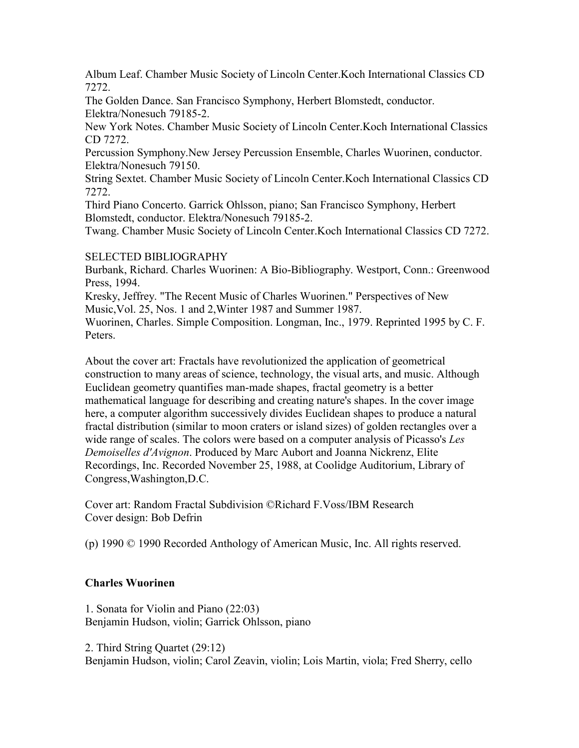Album Leaf. Chamber Music Society of Lincoln Center.Koch International Classics CD 7272.

The Golden Dance. San Francisco Symphony, Herbert Blomstedt, conductor. Elektra/Nonesuch 79185-2.

New York Notes. Chamber Music Society of Lincoln Center.Koch International Classics CD 7272.

Percussion Symphony.New Jersey Percussion Ensemble, Charles Wuorinen, conductor. Elektra/Nonesuch 79150.

String Sextet. Chamber Music Society of Lincoln Center.Koch International Classics CD 7272.

Third Piano Concerto. Garrick Ohlsson, piano; San Francisco Symphony, Herbert Blomstedt, conductor. Elektra/Nonesuch 79185-2.

Twang. Chamber Music Society of Lincoln Center.Koch International Classics CD 7272.

## SELECTED BIBLIOGRAPHY

Burbank, Richard. Charles Wuorinen: A Bio-Bibliography. Westport, Conn.: Greenwood Press, 1994.

Kresky, Jeffrey. "The Recent Music of Charles Wuorinen." Perspectives of New Music,Vol. 25, Nos. 1 and 2,Winter 1987 and Summer 1987.

Wuorinen, Charles. Simple Composition. Longman, Inc., 1979. Reprinted 1995 by C. F. **Peters**.

About the cover art: Fractals have revolutionized the application of geometrical construction to many areas of science, technology, the visual arts, and music. Although Euclidean geometry quantifies man-made shapes, fractal geometry is a better mathematical language for describing and creating nature's shapes. In the cover image here, a computer algorithm successively divides Euclidean shapes to produce a natural fractal distribution (similar to moon craters or island sizes) of golden rectangles over a wide range of scales. The colors were based on a computer analysis of Picasso's *Les Demoiselles d'Avignon*. Produced by Marc Aubort and Joanna Nickrenz, Elite Recordings, Inc. Recorded November 25, 1988, at Coolidge Auditorium, Library of Congress,Washington,D.C.

Cover art: Random Fractal Subdivision ©Richard F.Voss/IBM Research Cover design: Bob Defrin

(p) 1990 © 1990 Recorded Anthology of American Music, Inc. All rights reserved.

# **Charles Wuorinen**

1. Sonata for Violin and Piano (22:03) Benjamin Hudson, violin; Garrick Ohlsson, piano

2. Third String Quartet (29:12) Benjamin Hudson, violin; Carol Zeavin, violin; Lois Martin, viola; Fred Sherry, cello